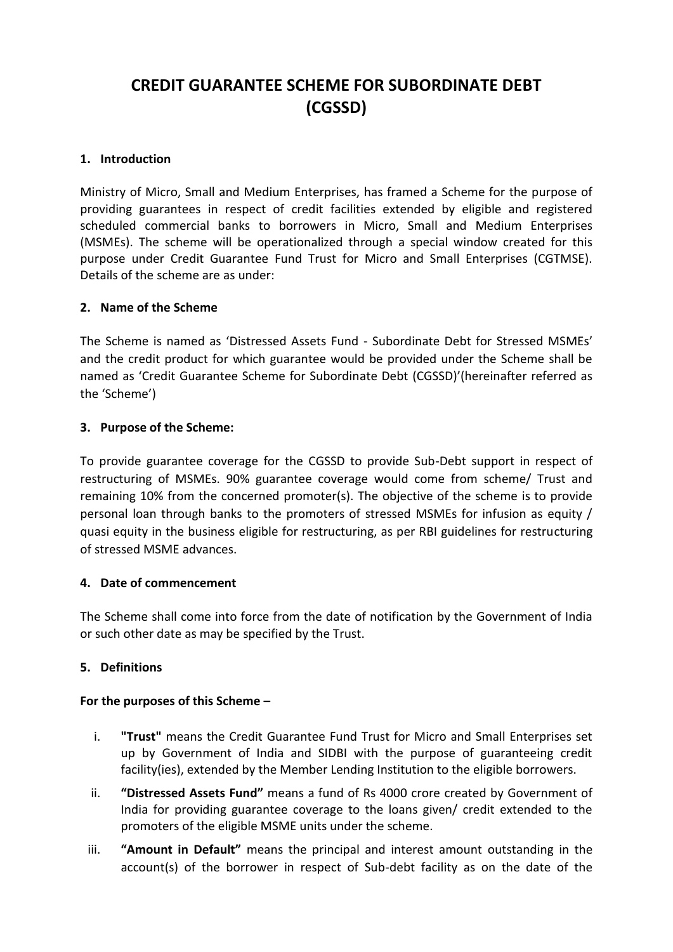# **CREDIT GUARANTEE SCHEME FOR SUBORDINATE DEBT (CGSSD)**

## **1. Introduction**

Ministry of Micro, Small and Medium Enterprises, has framed a Scheme for the purpose of providing guarantees in respect of credit facilities extended by eligible and registered scheduled commercial banks to borrowers in Micro, Small and Medium Enterprises (MSMEs). The scheme will be operationalized through a special window created for this purpose under Credit Guarantee Fund Trust for Micro and Small Enterprises (CGTMSE). Details of the scheme are as under:

#### **2. Name of the Scheme**

The Scheme is named as 'Distressed Assets Fund - Subordinate Debt for Stressed MSMEs' and the credit product for which guarantee would be provided under the Scheme shall be named as 'Credit Guarantee Scheme for Subordinate Debt (CGSSD)'(hereinafter referred as the 'Scheme')

## **3. Purpose of the Scheme:**

To provide guarantee coverage for the CGSSD to provide Sub-Debt support in respect of restructuring of MSMEs. 90% guarantee coverage would come from scheme/ Trust and remaining 10% from the concerned promoter(s). The objective of the scheme is to provide personal loan through banks to the promoters of stressed MSMEs for infusion as equity / quasi equity in the business eligible for restructuring, as per RBI guidelines for restructuring of stressed MSME advances.

#### **4. Date of commencement**

The Scheme shall come into force from the date of notification by the Government of India or such other date as may be specified by the Trust.

#### **5. Definitions**

#### **For the purposes of this Scheme –**

- i. **"Trust"** means the Credit Guarantee Fund Trust for Micro and Small Enterprises set up by Government of India and SIDBI with the purpose of guaranteeing credit facility(ies), extended by the Member Lending Institution to the eligible borrowers.
- ii. **"Distressed Assets Fund"** means a fund of Rs 4000 crore created by Government of India for providing guarantee coverage to the loans given/ credit extended to the promoters of the eligible MSME units under the scheme.
- iii. **"Amount in Default"** means the principal and interest amount outstanding in the account(s) of the borrower in respect of Sub-debt facility as on the date of the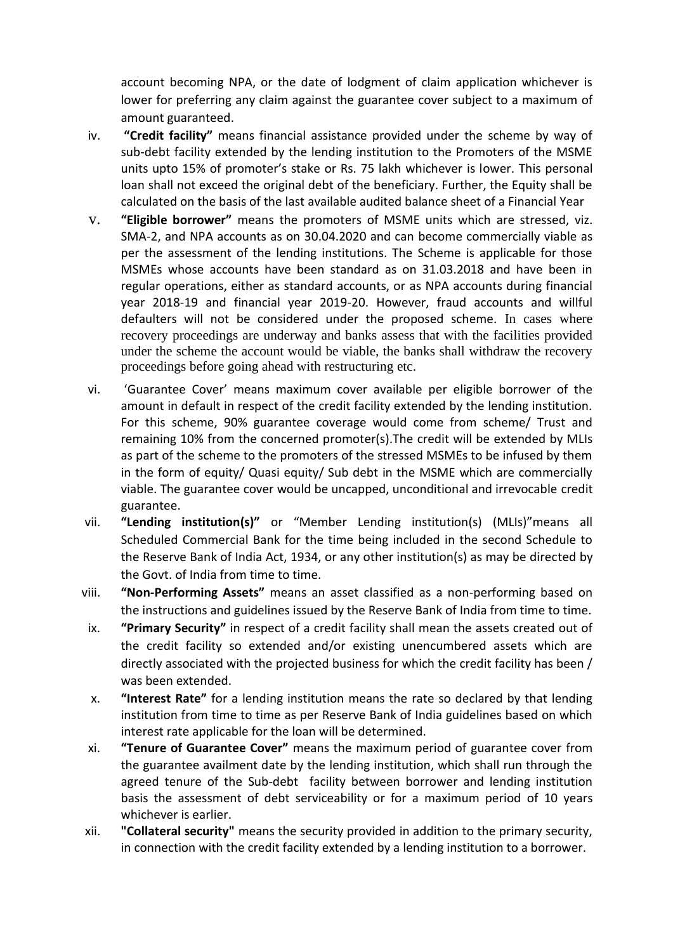account becoming NPA, or the date of lodgment of claim application whichever is lower for preferring any claim against the guarantee cover subject to a maximum of amount guaranteed.

- iv. **"Credit facility"** means financial assistance provided under the scheme by way of sub-debt facility extended by the lending institution to the Promoters of the MSME units upto 15% of promoter's stake or Rs. 75 lakh whichever is lower. This personal loan shall not exceed the original debt of the beneficiary. Further, the Equity shall be calculated on the basis of the last available audited balance sheet of a Financial Year
- v. **"Eligible borrower"** means the promoters of MSME units which are stressed, viz. SMA-2, and NPA accounts as on 30.04.2020 and can become commercially viable as per the assessment of the lending institutions. The Scheme is applicable for those MSMEs whose accounts have been standard as on 31.03.2018 and have been in regular operations, either as standard accounts, or as NPA accounts during financial year 2018-19 and financial year 2019-20. However, fraud accounts and willful defaulters will not be considered under the proposed scheme. In cases where recovery proceedings are underway and banks assess that with the facilities provided under the scheme the account would be viable, the banks shall withdraw the recovery proceedings before going ahead with restructuring etc.
- vi. 'Guarantee Cover' means maximum cover available per eligible borrower of the amount in default in respect of the credit facility extended by the lending institution. For this scheme, 90% guarantee coverage would come from scheme/ Trust and remaining 10% from the concerned promoter(s).The credit will be extended by MLIs as part of the scheme to the promoters of the stressed MSMEs to be infused by them in the form of equity/ Quasi equity/ Sub debt in the MSME which are commercially viable. The guarantee cover would be uncapped, unconditional and irrevocable credit guarantee.
- vii. **"Lending institution(s)"** or "Member Lending institution(s) (MLIs)"means all Scheduled Commercial Bank for the time being included in the second Schedule to the Reserve Bank of India Act, 1934, or any other institution(s) as may be directed by the Govt. of India from time to time.
- viii. **"Non-Performing Assets"** means an asset classified as a non-performing based on the instructions and guidelines issued by the Reserve Bank of India from time to time.
- ix. **"Primary Security"** in respect of a credit facility shall mean the assets created out of the credit facility so extended and/or existing unencumbered assets which are directly associated with the projected business for which the credit facility has been / was been extended.
- x. **"Interest Rate"** for a lending institution means the rate so declared by that lending institution from time to time as per Reserve Bank of India guidelines based on which interest rate applicable for the loan will be determined.
- xi. **"Tenure of Guarantee Cover"** means the maximum period of guarantee cover from the guarantee availment date by the lending institution, which shall run through the agreed tenure of the Sub-debt facility between borrower and lending institution basis the assessment of debt serviceability or for a maximum period of 10 years whichever is earlier.
- xii. **"Collateral security"** means the security provided in addition to the primary security, in connection with the credit facility extended by a lending institution to a borrower.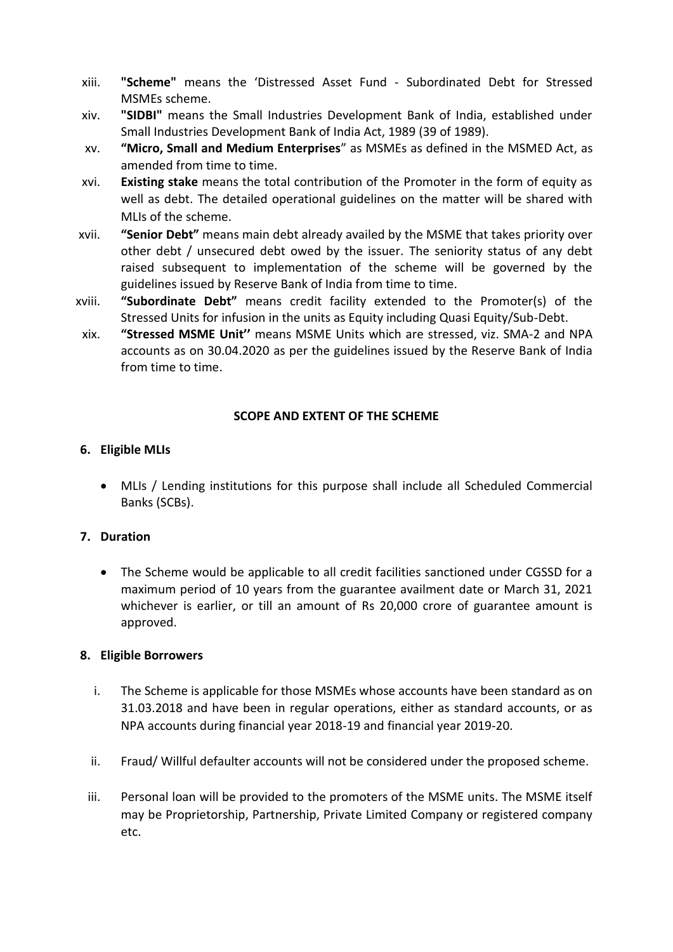- xiii. **"Scheme"** means the 'Distressed Asset Fund Subordinated Debt for Stressed MSMEs scheme.
- xiv. **"SIDBI"** means the Small Industries Development Bank of India, established under Small Industries Development Bank of India Act, 1989 (39 of 1989).
- xv. **"Micro, Small and Medium Enterprises**" as MSMEs as defined in the MSMED Act, as amended from time to time.
- xvi. **Existing stake** means the total contribution of the Promoter in the form of equity as well as debt. The detailed operational guidelines on the matter will be shared with MLIs of the scheme.
- xvii. **"Senior Debt"** means main debt already availed by the MSME that takes priority over other debt / unsecured debt owed by the issuer. The seniority status of any debt raised subsequent to implementation of the scheme will be governed by the guidelines issued by Reserve Bank of India from time to time.
- xviii. **"Subordinate Debt"** means credit facility extended to the Promoter(s) of the Stressed Units for infusion in the units as Equity including Quasi Equity/Sub-Debt.
- xix. **"Stressed MSME Unit''** means MSME Units which are stressed, viz. SMA-2 and NPA accounts as on 30.04.2020 as per the guidelines issued by the Reserve Bank of India from time to time.

## **SCOPE AND EXTENT OF THE SCHEME**

## **6. Eligible MLIs**

• MLIs / Lending institutions for this purpose shall include all Scheduled Commercial Banks (SCBs).

## **7. Duration**

• The Scheme would be applicable to all credit facilities sanctioned under CGSSD for a maximum period of 10 years from the guarantee availment date or March 31, 2021 whichever is earlier, or till an amount of Rs 20,000 crore of guarantee amount is approved.

#### **8. Eligible Borrowers**

- i. The Scheme is applicable for those MSMEs whose accounts have been standard as on 31.03.2018 and have been in regular operations, either as standard accounts, or as NPA accounts during financial year 2018-19 and financial year 2019-20.
- ii. Fraud/ Willful defaulter accounts will not be considered under the proposed scheme.
- iii. Personal loan will be provided to the promoters of the MSME units. The MSME itself may be Proprietorship, Partnership, Private Limited Company or registered company etc.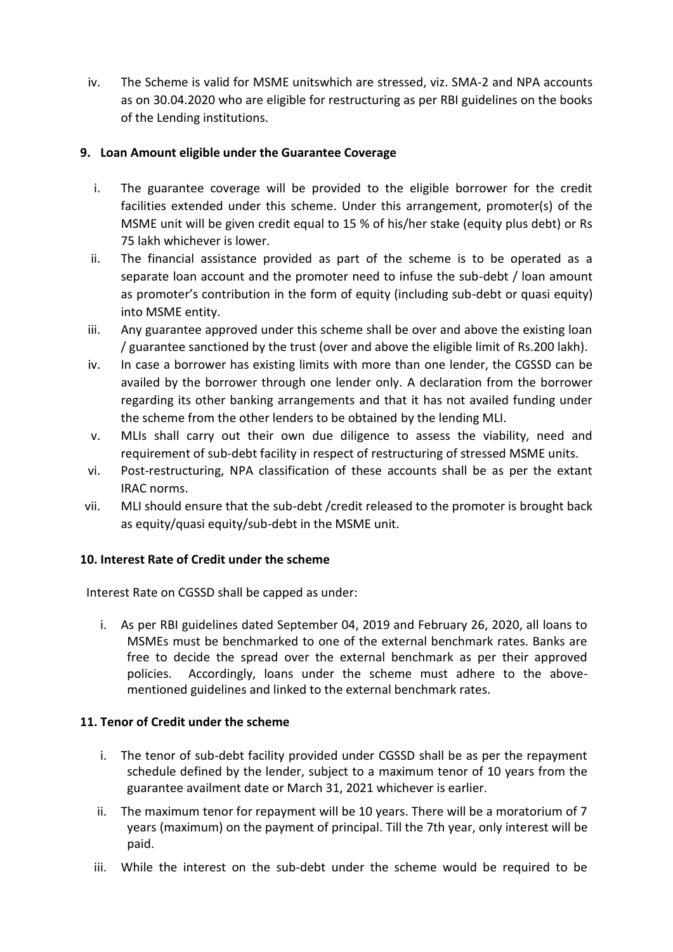iv. The Scheme is valid for MSME unitswhich are stressed, viz. SMA-2 and NPA accounts as on 30.04.2020 who are eligible for restructuring as per RBI guidelines on the books of the Lending institutions.

# **9. Loan Amount eligible under the Guarantee Coverage**

- i. The guarantee coverage will be provided to the eligible borrower for the credit facilities extended under this scheme. Under this arrangement, promoter(s) of the MSME unit will be given credit equal to 15 % of his/her stake (equity plus debt) or Rs 75 lakh whichever is lower.
- ii. The financial assistance provided as part of the scheme is to be operated as a separate loan account and the promoter need to infuse the sub-debt / loan amount as promoter's contribution in the form of equity (including sub-debt or quasi equity) into MSME entity.
- iii. Any guarantee approved under this scheme shall be over and above the existing loan / guarantee sanctioned by the trust (over and above the eligible limit of Rs.200 lakh).
- iv. In case a borrower has existing limits with more than one lender, the CGSSD can be availed by the borrower through one lender only. A declaration from the borrower regarding its other banking arrangements and that it has not availed funding under the scheme from the other lenders to be obtained by the lending MLI.
- v. MLIs shall carry out their own due diligence to assess the viability, need and requirement of sub-debt facility in respect of restructuring of stressed MSME units.
- vi. Post-restructuring, NPA classification of these accounts shall be as per the extant IRAC norms.
- vii. MLI should ensure that the sub-debt /credit released to the promoter is brought back as equity/quasi equity/sub-debt in the MSME unit.

## **10. Interest Rate of Credit under the scheme**

Interest Rate on CGSSD shall be capped as under:

i. As per RBI guidelines dated September 04, 2019 and February 26, 2020, all loans to MSMEs must be benchmarked to one of the external benchmark rates. Banks are free to decide the spread over the external benchmark as per their approved policies. Accordingly, loans under the scheme must adhere to the abovementioned guidelines and linked to the external benchmark rates.

## **11. Tenor of Credit under the scheme**

- i. The tenor of sub-debt facility provided under CGSSD shall be as per the repayment schedule defined by the lender, subject to a maximum tenor of 10 years from the guarantee availment date or March 31, 2021 whichever is earlier.
- ii. The maximum tenor for repayment will be 10 years. There will be a moratorium of 7 years (maximum) on the payment of principal. Till the 7th year, only interest will be paid.
- iii. While the interest on the sub-debt under the scheme would be required to be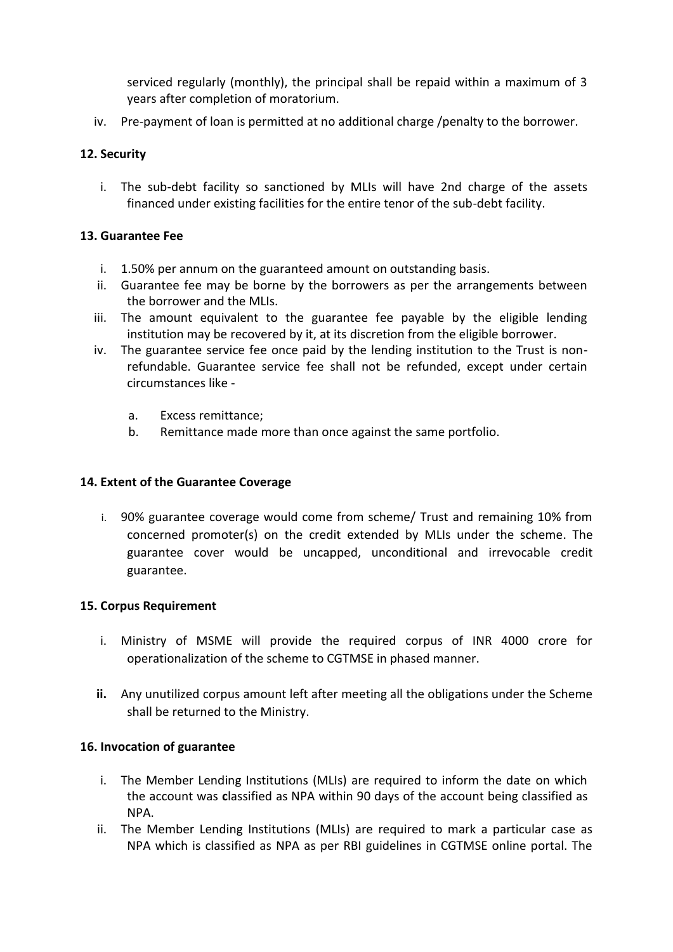serviced regularly (monthly), the principal shall be repaid within a maximum of 3 years after completion of moratorium.

iv. Pre-payment of loan is permitted at no additional charge /penalty to the borrower.

## **12. Security**

i. The sub-debt facility so sanctioned by MLIs will have 2nd charge of the assets financed under existing facilities for the entire tenor of the sub-debt facility.

## **13. Guarantee Fee**

- i. 1.50% per annum on the guaranteed amount on outstanding basis.
- ii. Guarantee fee may be borne by the borrowers as per the arrangements between the borrower and the MLIs.
- iii. The amount equivalent to the guarantee fee payable by the eligible lending institution may be recovered by it, at its discretion from the eligible borrower.
- iv. The guarantee service fee once paid by the lending institution to the Trust is nonrefundable. Guarantee service fee shall not be refunded, except under certain circumstances like
	- a. Excess remittance;
	- b. Remittance made more than once against the same portfolio.

## **14. Extent of the Guarantee Coverage**

i. 90% guarantee coverage would come from scheme/ Trust and remaining 10% from concerned promoter(s) on the credit extended by MLIs under the scheme. The guarantee cover would be uncapped, unconditional and irrevocable credit guarantee.

#### **15. Corpus Requirement**

- i. Ministry of MSME will provide the required corpus of INR 4000 crore for operationalization of the scheme to CGTMSE in phased manner.
- **ii.** Any unutilized corpus amount left after meeting all the obligations under the Scheme shall be returned to the Ministry.

#### **16. Invocation of guarantee**

- i. The Member Lending Institutions (MLIs) are required to inform the date on which the account was **c**lassified as NPA within 90 days of the account being classified as NPA.
- ii. The Member Lending Institutions (MLIs) are required to mark a particular case as NPA which is classified as NPA as per RBI guidelines in CGTMSE online portal. The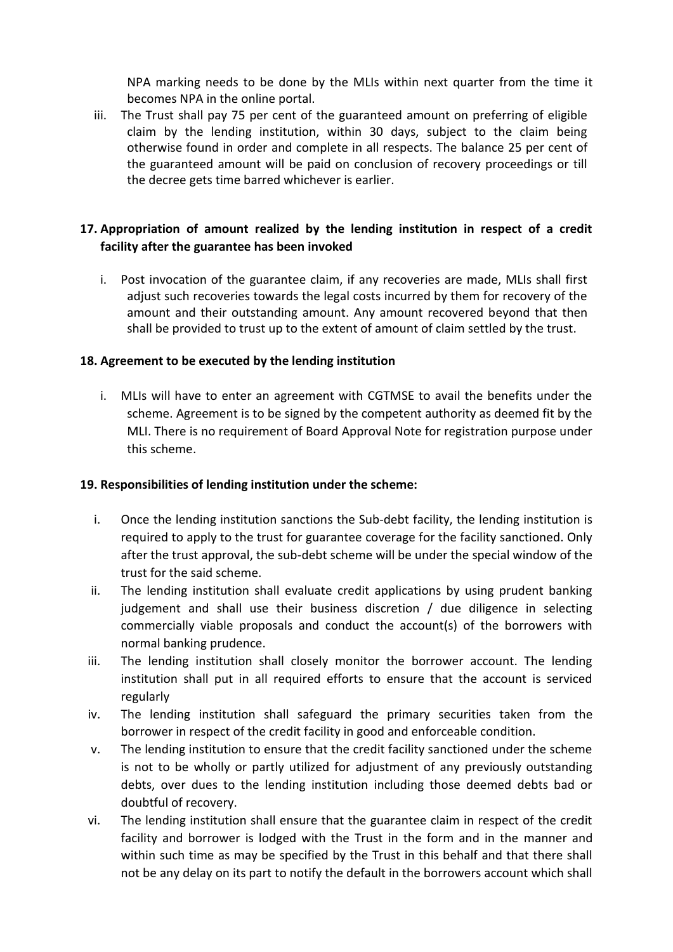NPA marking needs to be done by the MLIs within next quarter from the time it becomes NPA in the online portal.

iii. The Trust shall pay 75 per cent of the guaranteed amount on preferring of eligible claim by the lending institution, within 30 days, subject to the claim being otherwise found in order and complete in all respects. The balance 25 per cent of the guaranteed amount will be paid on conclusion of recovery proceedings or till the decree gets time barred whichever is earlier.

## **17. Appropriation of amount realized by the lending institution in respect of a credit facility after the guarantee has been invoked**

i. Post invocation of the guarantee claim, if any recoveries are made, MLIs shall first adjust such recoveries towards the legal costs incurred by them for recovery of the amount and their outstanding amount. Any amount recovered beyond that then shall be provided to trust up to the extent of amount of claim settled by the trust.

## **18. Agreement to be executed by the lending institution**

i. MLIs will have to enter an agreement with CGTMSE to avail the benefits under the scheme. Agreement is to be signed by the competent authority as deemed fit by the MLI. There is no requirement of Board Approval Note for registration purpose under this scheme.

#### **19. Responsibilities of lending institution under the scheme:**

- i. Once the lending institution sanctions the Sub-debt facility, the lending institution is required to apply to the trust for guarantee coverage for the facility sanctioned. Only after the trust approval, the sub-debt scheme will be under the special window of the trust for the said scheme.
- ii. The lending institution shall evaluate credit applications by using prudent banking judgement and shall use their business discretion / due diligence in selecting commercially viable proposals and conduct the account(s) of the borrowers with normal banking prudence.
- iii. The lending institution shall closely monitor the borrower account. The lending institution shall put in all required efforts to ensure that the account is serviced regularly
- iv. The lending institution shall safeguard the primary securities taken from the borrower in respect of the credit facility in good and enforceable condition.
- v. The lending institution to ensure that the credit facility sanctioned under the scheme is not to be wholly or partly utilized for adjustment of any previously outstanding debts, over dues to the lending institution including those deemed debts bad or doubtful of recovery.
- vi. The lending institution shall ensure that the guarantee claim in respect of the credit facility and borrower is lodged with the Trust in the form and in the manner and within such time as may be specified by the Trust in this behalf and that there shall not be any delay on its part to notify the default in the borrowers account which shall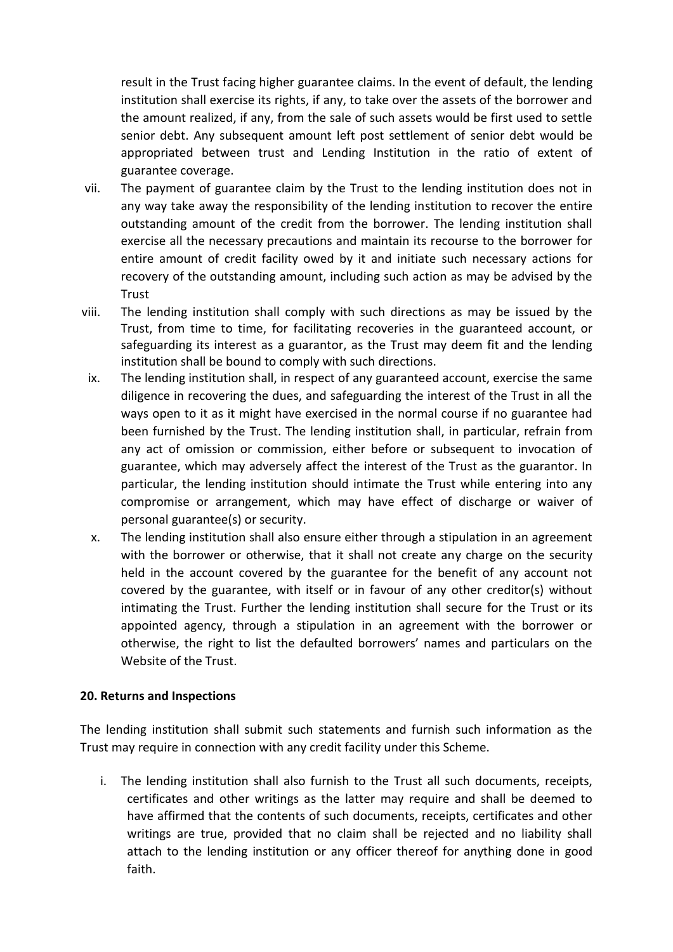result in the Trust facing higher guarantee claims. In the event of default, the lending institution shall exercise its rights, if any, to take over the assets of the borrower and the amount realized, if any, from the sale of such assets would be first used to settle senior debt. Any subsequent amount left post settlement of senior debt would be appropriated between trust and Lending Institution in the ratio of extent of guarantee coverage.

- vii. The payment of guarantee claim by the Trust to the lending institution does not in any way take away the responsibility of the lending institution to recover the entire outstanding amount of the credit from the borrower. The lending institution shall exercise all the necessary precautions and maintain its recourse to the borrower for entire amount of credit facility owed by it and initiate such necessary actions for recovery of the outstanding amount, including such action as may be advised by the **Trust**
- viii. The lending institution shall comply with such directions as may be issued by the Trust, from time to time, for facilitating recoveries in the guaranteed account, or safeguarding its interest as a guarantor, as the Trust may deem fit and the lending institution shall be bound to comply with such directions.
	- ix. The lending institution shall, in respect of any guaranteed account, exercise the same diligence in recovering the dues, and safeguarding the interest of the Trust in all the ways open to it as it might have exercised in the normal course if no guarantee had been furnished by the Trust. The lending institution shall, in particular, refrain from any act of omission or commission, either before or subsequent to invocation of guarantee, which may adversely affect the interest of the Trust as the guarantor. In particular, the lending institution should intimate the Trust while entering into any compromise or arrangement, which may have effect of discharge or waiver of personal guarantee(s) or security.
	- x. The lending institution shall also ensure either through a stipulation in an agreement with the borrower or otherwise, that it shall not create any charge on the security held in the account covered by the guarantee for the benefit of any account not covered by the guarantee, with itself or in favour of any other creditor(s) without intimating the Trust. Further the lending institution shall secure for the Trust or its appointed agency, through a stipulation in an agreement with the borrower or otherwise, the right to list the defaulted borrowers' names and particulars on the Website of the Trust.

#### **20. Returns and Inspections**

The lending institution shall submit such statements and furnish such information as the Trust may require in connection with any credit facility under this Scheme.

i. The lending institution shall also furnish to the Trust all such documents, receipts, certificates and other writings as the latter may require and shall be deemed to have affirmed that the contents of such documents, receipts, certificates and other writings are true, provided that no claim shall be rejected and no liability shall attach to the lending institution or any officer thereof for anything done in good faith.